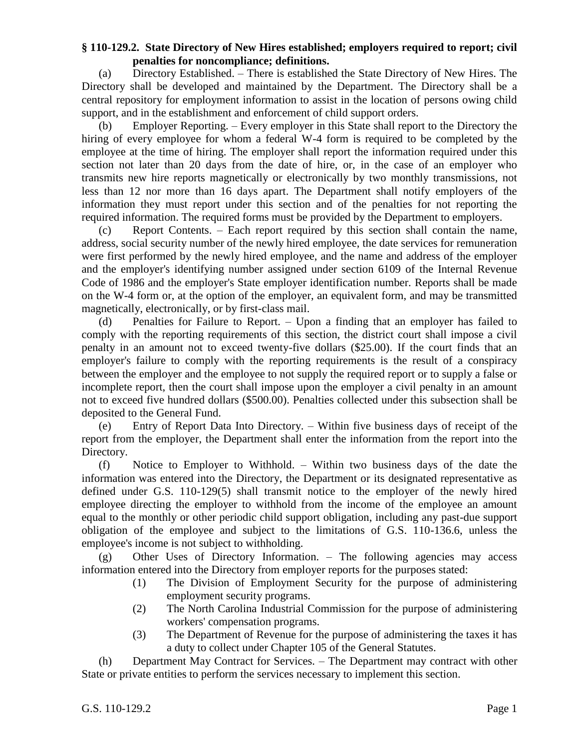## **§ 110-129.2. State Directory of New Hires established; employers required to report; civil penalties for noncompliance; definitions.**

(a) Directory Established. – There is established the State Directory of New Hires. The Directory shall be developed and maintained by the Department. The Directory shall be a central repository for employment information to assist in the location of persons owing child support, and in the establishment and enforcement of child support orders.

(b) Employer Reporting. – Every employer in this State shall report to the Directory the hiring of every employee for whom a federal W-4 form is required to be completed by the employee at the time of hiring. The employer shall report the information required under this section not later than 20 days from the date of hire, or, in the case of an employer who transmits new hire reports magnetically or electronically by two monthly transmissions, not less than 12 nor more than 16 days apart. The Department shall notify employers of the information they must report under this section and of the penalties for not reporting the required information. The required forms must be provided by the Department to employers.

(c) Report Contents. – Each report required by this section shall contain the name, address, social security number of the newly hired employee, the date services for remuneration were first performed by the newly hired employee, and the name and address of the employer and the employer's identifying number assigned under section 6109 of the Internal Revenue Code of 1986 and the employer's State employer identification number. Reports shall be made on the W-4 form or, at the option of the employer, an equivalent form, and may be transmitted magnetically, electronically, or by first-class mail.

(d) Penalties for Failure to Report. – Upon a finding that an employer has failed to comply with the reporting requirements of this section, the district court shall impose a civil penalty in an amount not to exceed twenty-five dollars (\$25.00). If the court finds that an employer's failure to comply with the reporting requirements is the result of a conspiracy between the employer and the employee to not supply the required report or to supply a false or incomplete report, then the court shall impose upon the employer a civil penalty in an amount not to exceed five hundred dollars (\$500.00). Penalties collected under this subsection shall be deposited to the General Fund.

(e) Entry of Report Data Into Directory. – Within five business days of receipt of the report from the employer, the Department shall enter the information from the report into the Directory.

(f) Notice to Employer to Withhold. – Within two business days of the date the information was entered into the Directory, the Department or its designated representative as defined under G.S. 110-129(5) shall transmit notice to the employer of the newly hired employee directing the employer to withhold from the income of the employee an amount equal to the monthly or other periodic child support obligation, including any past-due support obligation of the employee and subject to the limitations of G.S. 110-136.6, unless the employee's income is not subject to withholding.

(g) Other Uses of Directory Information. – The following agencies may access information entered into the Directory from employer reports for the purposes stated:

- (1) The Division of Employment Security for the purpose of administering employment security programs.
- (2) The North Carolina Industrial Commission for the purpose of administering workers' compensation programs.
- (3) The Department of Revenue for the purpose of administering the taxes it has a duty to collect under Chapter 105 of the General Statutes.

(h) Department May Contract for Services. – The Department may contract with other State or private entities to perform the services necessary to implement this section.